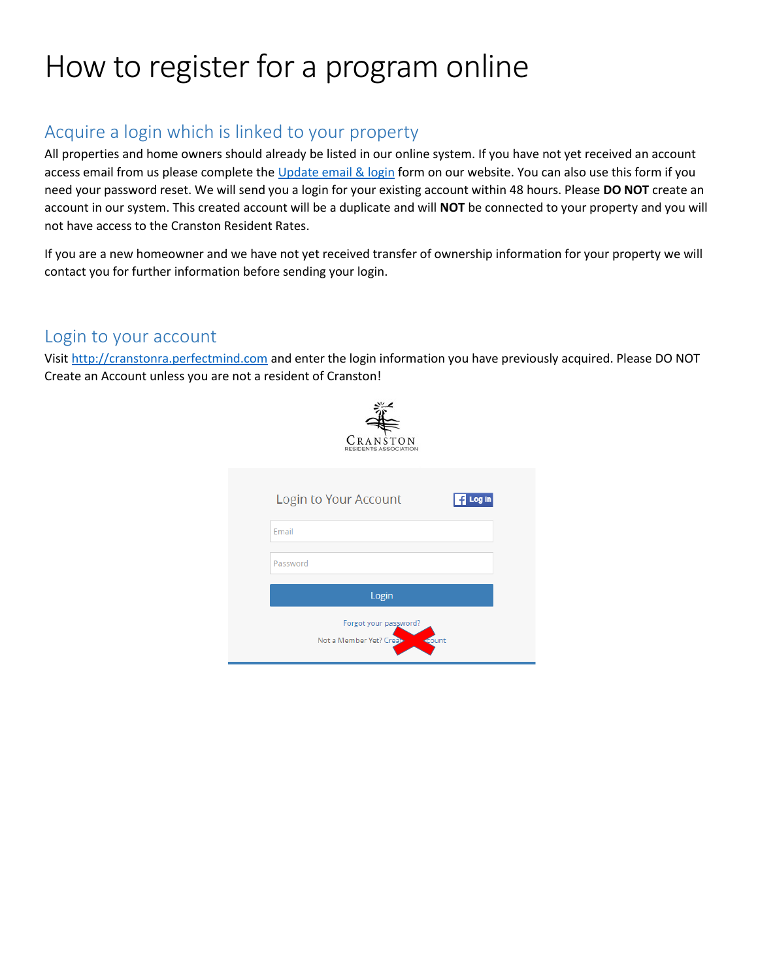# How to register for a program online

# Acquire a login which is linked to your property

All properties and home owners should already be listed in our online system. If you have not yet received an account access email from us please complete th[e Update email & login](https://cranstonra.ca/update-email-and-login-form/) form on our website. You can also use this form if you need your password reset. We will send you a login for your existing account within 48 hours. Please **DO NOT** create an account in our system. This created account will be a duplicate and will **NOT** be connected to your property and you will not have access to the Cranston Resident Rates.

If you are a new homeowner and we have not yet received transfer of ownership information for your property we will contact you for further information before sending your login.

#### Login to your account

Visit [http://cranstonra.perfectmind.com](http://cranstonra.perfectmind.com/) and enter the login information you have previously acquired. Please DO NOT Create an Account unless you are not a resident of Cranston!

| CRANSTON<br><b>RESIDENTS ASSOCIATION</b>                   |        |
|------------------------------------------------------------|--------|
| Login to Your Account                                      | Log in |
| Email                                                      |        |
| Password                                                   |        |
| Login                                                      |        |
| Forgot your password?<br>Not a Member Yet? Creat-<br>count |        |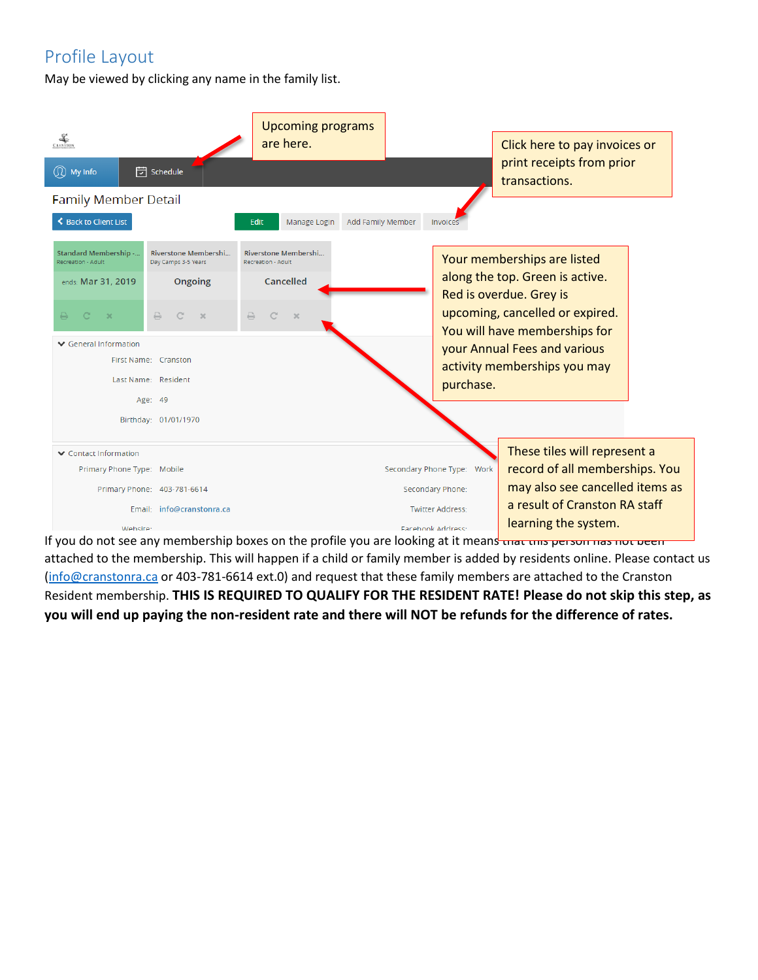# Profile Layout

May be viewed by clicking any name in the family list.

| $rac{2}{\sqrt{2}}$                          |                                             | <b>Upcoming programs</b><br>are here.      |                   |                            | Click here to pay invoices or<br>print receipts from prior       |  |
|---------------------------------------------|---------------------------------------------|--------------------------------------------|-------------------|----------------------------|------------------------------------------------------------------|--|
| $\mathbb{Q}$ My Info                        | <b>门</b> Schedule                           |                                            |                   |                            | transactions.                                                    |  |
| <b>Family Member Detail</b>                 |                                             |                                            |                   |                            |                                                                  |  |
| ← Back to Client List                       |                                             | <b>Edit</b><br>Manage Login                | Add Family Member | Invoice:                   |                                                                  |  |
| Standard Membership -<br>Recreation - Adult | Riverstone Membershi<br>Day Camps 3-5 Years | Riverstone Membershi<br>Recreation - Adult |                   |                            | Your memberships are listed                                      |  |
| ends: Mar 31, 2019                          | Ongoing                                     | Cancelled                                  |                   |                            | along the top. Green is active.<br>Red is overdue. Grey is       |  |
| $\Box$<br>$\Gamma$<br>$\mathbf{x}$          | ₽<br>C<br>$\chi$                            | ₽<br>$\mathcal{C}$<br>$\chi$               |                   |                            | upcoming, cancelled or expired.<br>You will have memberships for |  |
| ▼ General Information                       |                                             |                                            |                   |                            | your Annual Fees and various                                     |  |
|                                             | First Name: Cranston                        |                                            |                   |                            | activity memberships you may                                     |  |
|                                             | Last Name: Resident                         |                                            |                   | purchase.                  |                                                                  |  |
|                                             | Age: 49                                     |                                            |                   |                            |                                                                  |  |
|                                             | Birthday: 01/01/1970                        |                                            |                   |                            |                                                                  |  |
| ▼ Contact Information                       |                                             |                                            |                   |                            | These tiles will represent a                                     |  |
| Primary Phone Type: Mobile                  |                                             |                                            |                   | Secondary Phone Type: Work | record of all memberships. You                                   |  |
|                                             | Primary Phone: 403-781-6614                 |                                            |                   | Secondary Phone:           | may also see cancelled items as                                  |  |
|                                             | Email: info@cranstonra.ca                   |                                            |                   | <b>Twitter Address:</b>    | a result of Cranston RA staff                                    |  |
| Website:                                    |                                             |                                            |                   | <b>Eacebook Address:</b>   | learning the system.                                             |  |

If you do not see any membership boxes on the profile you are looking at it means that this person has not been attached to the membership. This will happen if a child or family member is added by residents online. Please contact us [\(info@cranstonra.ca](mailto:info@cranstonra.ca) or 403-781-6614 ext.0) and request that these family members are attached to the Cranston Resident membership. **THIS IS REQUIRED TO QUALIFY FOR THE RESIDENT RATE! Please do not skip this step, as you will end up paying the non-resident rate and there will NOT be refunds for the difference of rates.**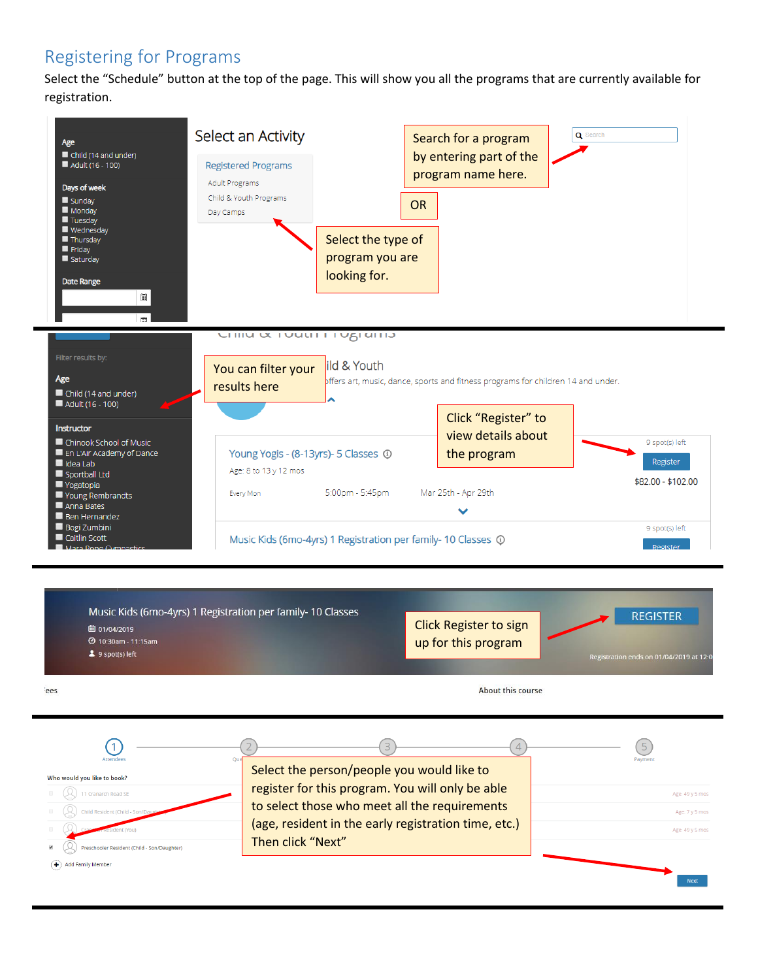### Registering for Programs

Select the "Schedule" button at the top of the page. This will show you all the programs that are currently available for registration.